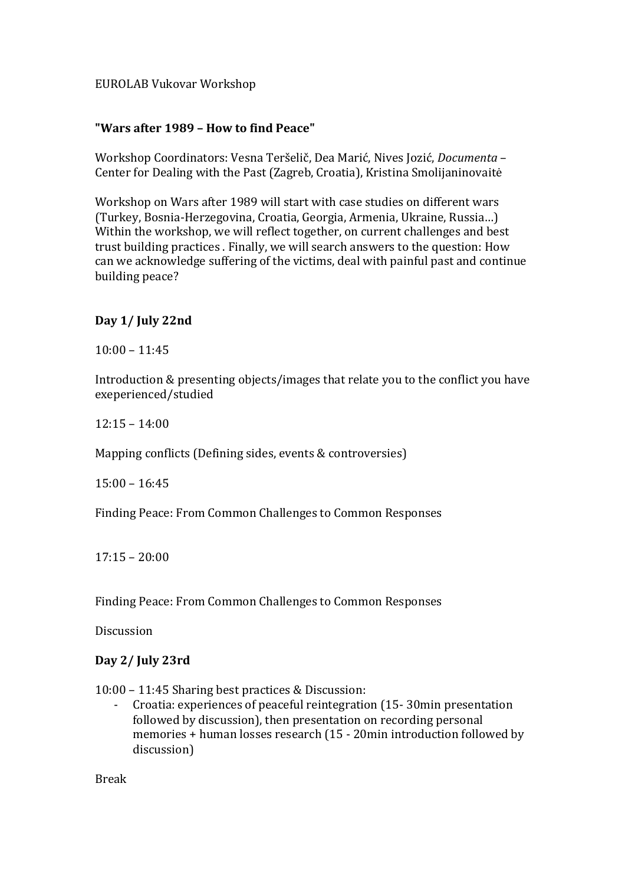## EUROLAB Vukovar Workshop

## **"Wars after 1989 – How to find Peace"**

Workshop Coordinators: Vesna Teršelič, Dea Marić, Nives Jozić, *Documenta* -Center for Dealing with the Past (Zagreb, Croatia), Kristina Smolijaninovaitė

Workshop on Wars after 1989 will start with case studies on different wars (Turkey, Bosnia-Herzegovina, Croatia, Georgia, Armenia, Ukraine, Russia...) Within the workshop, we will reflect together, on current challenges and best trust building practices . Finally, we will search answers to the question: How can we acknowledge suffering of the victims, deal with painful past and continue building peace?

#### Day 1/ July 22nd

 $10:00 - 11:45$ 

Introduction & presenting objects/images that relate you to the conflict you have exeperienced/studied

 $12:15 - 14:00$ 

Mapping conflicts (Defining sides, events & controversies)

 $15:00 - 16:45$ 

Finding Peace: From Common Challenges to Common Responses

 $17:15 - 20:00$ 

Finding Peace: From Common Challenges to Common Responses

Discussion

#### Day 2/ July 23rd

10:00 – 11:45 Sharing best practices & Discussion:

- Croatia: experiences of peaceful reintegration (15-30min presentation followed by discussion), then presentation on recording personal memories + human losses research (15 - 20min introduction followed by discussion)

Break